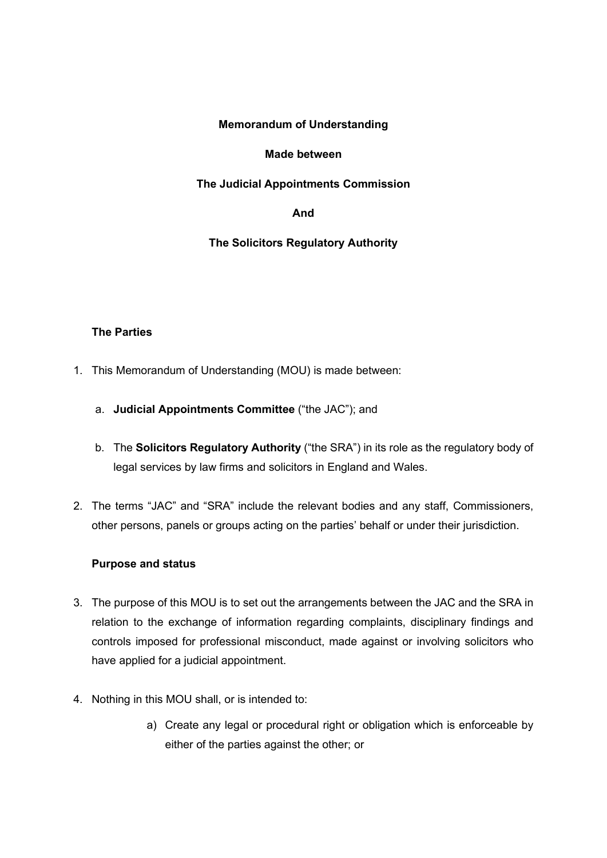## **Memorandum of Understanding**

## **Made between**

## **The Judicial Appointments Commission**

## **And**

# **The Solicitors Regulatory Authority**

## **The Parties**

- 1. This Memorandum of Understanding (MOU) is made between:
	- a. **Judicial Appointments Committee** ("the JAC"); and
	- b. The **Solicitors Regulatory Authority** ("the SRA") in its role as the regulatory body of legal services by law firms and solicitors in England and Wales.
- 2. The terms "JAC" and "SRA" include the relevant bodies and any staff, Commissioners, other persons, panels or groups acting on the parties' behalf or under their jurisdiction.

## **Purpose and status**

- 3. The purpose of this MOU is to set out the arrangements between the JAC and the SRA in relation to the exchange of information regarding complaints, disciplinary findings and controls imposed for professional misconduct, made against or involving solicitors who have applied for a judicial appointment.
- 4. Nothing in this MOU shall, or is intended to:
	- a) Create any legal or procedural right or obligation which is enforceable by either of the parties against the other; or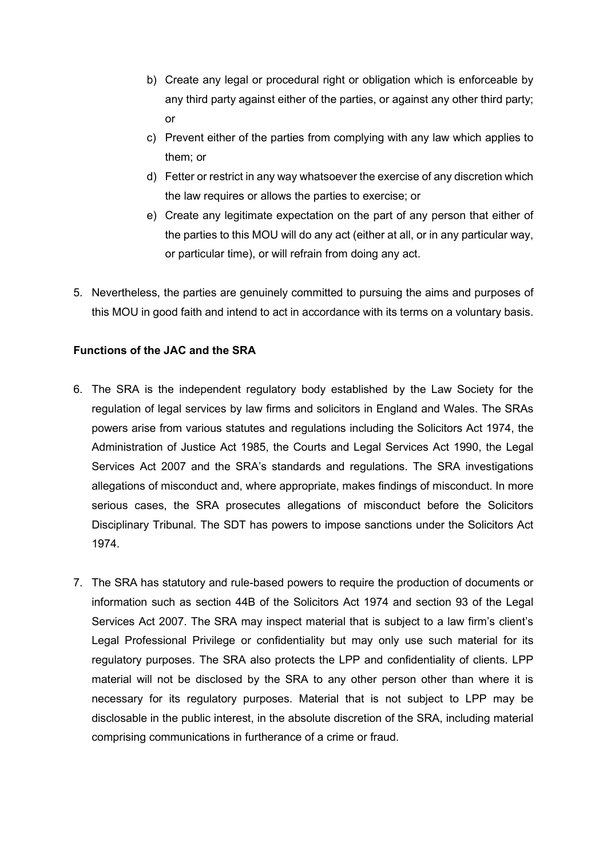- b) Create any legal or procedural right or obligation which is enforceable by any third party against either of the parties, or against any other third party; or
- c) Prevent either of the parties from complying with any law which applies to them; or
- d) Fetter or restrict in any way whatsoever the exercise of any discretion which the law requires or allows the parties to exercise; or
- e) Create any legitimate expectation on the part of any person that either of the parties to this MOU will do any act (either at all, or in any particular way, or particular time), or will refrain from doing any act.
- 5. Nevertheless, the parties are genuinely committed to pursuing the aims and purposes of this MOU in good faith and intend to act in accordance with its terms on a voluntary basis.

## **Functions of the JAC and the SRA**

- 6. The SRA is the independent regulatory body established by the Law Society for the regulation of legal services by law firms and solicitors in England and Wales. The SRAs powers arise from various statutes and regulations including the Solicitors Act 1974, the Administration of Justice Act 1985, the Courts and Legal Services Act 1990, the Legal Services Act 2007 and the SRA's standards and regulations. The SRA investigations allegations of misconduct and, where appropriate, makes findings of misconduct. In more serious cases, the SRA prosecutes allegations of misconduct before the Solicitors Disciplinary Tribunal. The SDT has powers to impose sanctions under the Solicitors Act 1974.
- 7. The SRA has statutory and rule-based powers to require the production of documents or information such as section 44B of the Solicitors Act 1974 and section 93 of the Legal Services Act 2007. The SRA may inspect material that is subject to a law firm's client's Legal Professional Privilege or confidentiality but may only use such material for its regulatory purposes. The SRA also protects the LPP and confidentiality of clients. LPP material will not be disclosed by the SRA to any other person other than where it is necessary for its regulatory purposes. Material that is not subject to LPP may be disclosable in the public interest, in the absolute discretion of the SRA, including material comprising communications in furtherance of a crime or fraud.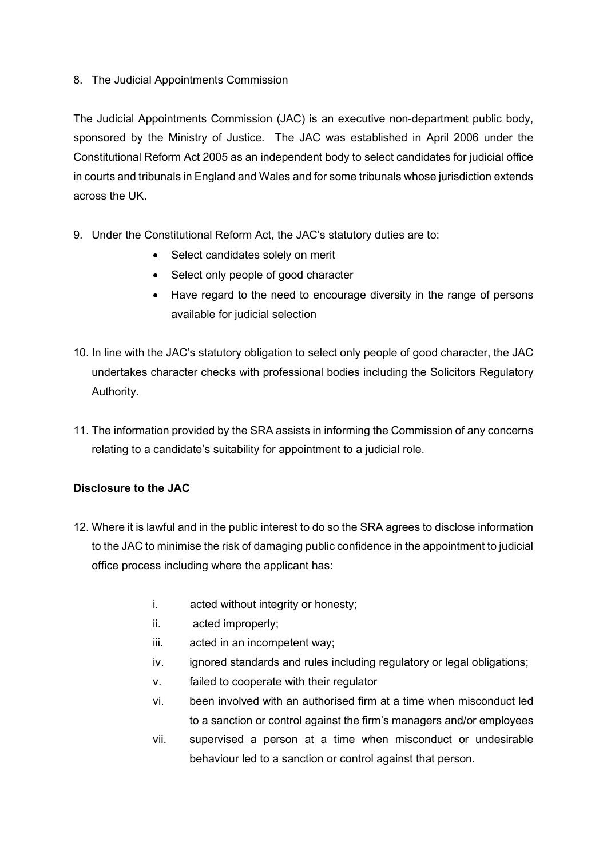## 8. The Judicial Appointments Commission

The Judicial Appointments Commission (JAC) is an executive non-department public body, sponsored by the Ministry of Justice. The JAC was established in April 2006 under the Constitutional Reform Act 2005 as an independent body to select candidates for judicial office in courts and tribunals in England and Wales and for some tribunals whose jurisdiction extends across the UK.

- 9. Under the Constitutional Reform Act, the JAC's statutory duties are to:
	- Select candidates solely on merit
	- Select only people of good character
	- Have regard to the need to encourage diversity in the range of persons available for judicial selection
- 10. In line with the JAC's statutory obligation to select only people of good character, the JAC undertakes character checks with professional bodies including the Solicitors Regulatory Authority.
- 11. The information provided by the SRA assists in informing the Commission of any concerns relating to a candidate's suitability for appointment to a judicial role.

# **Disclosure to the JAC**

- 12. Where it is lawful and in the public interest to do so the SRA agrees to disclose information to the JAC to minimise the risk of damaging public confidence in the appointment to judicial office process including where the applicant has:
	- i. acted without integrity or honesty;
	- ii. acted improperly;
	- iii. acted in an incompetent way;
	- iv. ignored standards and rules including regulatory or legal obligations;
	- v. failed to cooperate with their regulator
	- vi. been involved with an authorised firm at a time when misconduct led to a sanction or control against the firm's managers and/or employees
	- vii. supervised a person at a time when misconduct or undesirable behaviour led to a sanction or control against that person.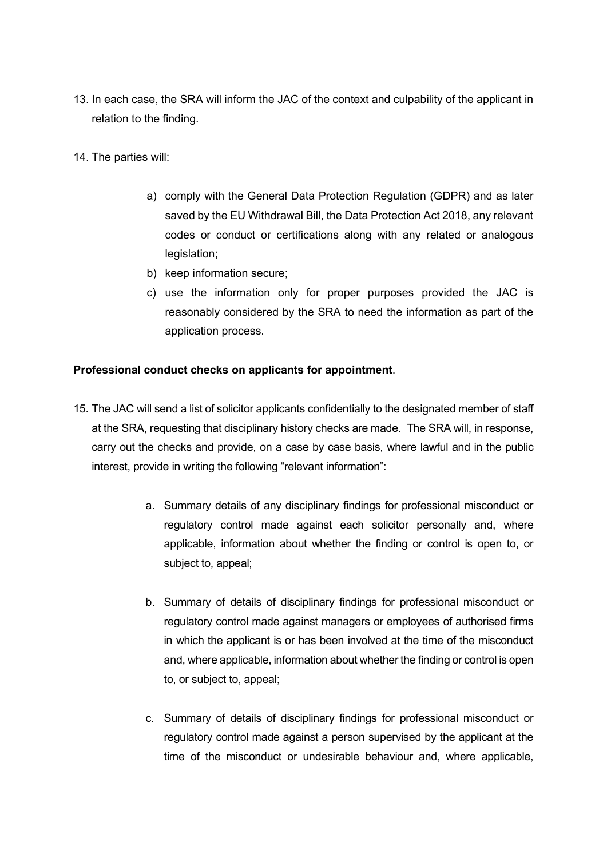- 13. In each case, the SRA will inform the JAC of the context and culpability of the applicant in relation to the finding.
- 14. The parties will:
	- a) comply with the General Data Protection Regulation (GDPR) and as later saved by the EU Withdrawal Bill, the Data Protection Act 2018, any relevant codes or conduct or certifications along with any related or analogous legislation;
	- b) keep information secure;
	- c) use the information only for proper purposes provided the JAC is reasonably considered by the SRA to need the information as part of the application process.

#### **Professional conduct checks on applicants for appointment**.

- 15. The JAC will send a list of solicitor applicants confidentially to the designated member of staff at the SRA, requesting that disciplinary history checks are made. The SRA will, in response, carry out the checks and provide, on a case by case basis, where lawful and in the public interest, provide in writing the following "relevant information":
	- a. Summary details of any disciplinary findings for professional misconduct or regulatory control made against each solicitor personally and, where applicable, information about whether the finding or control is open to, or subject to, appeal;
	- b. Summary of details of disciplinary findings for professional misconduct or regulatory control made against managers or employees of authorised firms in which the applicant is or has been involved at the time of the misconduct and, where applicable, information about whether the finding or control is open to, or subject to, appeal;
	- c. Summary of details of disciplinary findings for professional misconduct or regulatory control made against a person supervised by the applicant at the time of the misconduct or undesirable behaviour and, where applicable,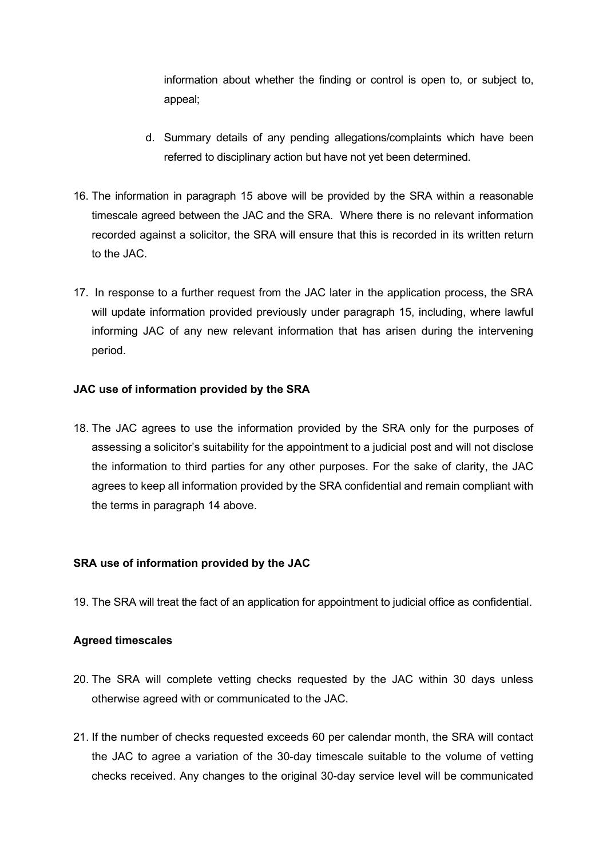information about whether the finding or control is open to, or subject to, appeal;

- d. Summary details of any pending allegations/complaints which have been referred to disciplinary action but have not yet been determined.
- 16. The information in paragraph 15 above will be provided by the SRA within a reasonable timescale agreed between the JAC and the SRA. Where there is no relevant information recorded against a solicitor, the SRA will ensure that this is recorded in its written return to the JAC.
- 17. In response to a further request from the JAC later in the application process, the SRA will update information provided previously under paragraph 15, including, where lawful informing JAC of any new relevant information that has arisen during the intervening period.

## **JAC use of information provided by the SRA**

18. The JAC agrees to use the information provided by the SRA only for the purposes of assessing a solicitor's suitability for the appointment to a judicial post and will not disclose the information to third parties for any other purposes. For the sake of clarity, the JAC agrees to keep all information provided by the SRA confidential and remain compliant with the terms in paragraph 14 above.

## **SRA use of information provided by the JAC**

19. The SRA will treat the fact of an application for appointment to judicial office as confidential.

## **Agreed timescales**

- 20. The SRA will complete vetting checks requested by the JAC within 30 days unless otherwise agreed with or communicated to the JAC.
- 21. If the number of checks requested exceeds 60 per calendar month, the SRA will contact the JAC to agree a variation of the 30-day timescale suitable to the volume of vetting checks received. Any changes to the original 30-day service level will be communicated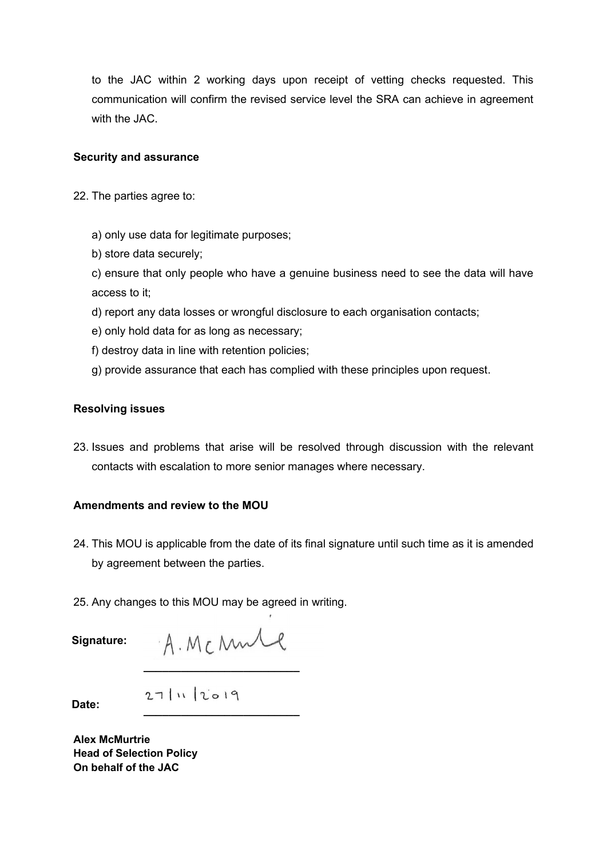to the JAC within 2 working days upon receipt of vetting checks requested. This communication will confirm the revised service level the SRA can achieve in agreement with the JAC.

#### **Security and assurance**

- 22. The parties agree to:
	- a) only use data for legitimate purposes;
	- b) store data securely;

c) ensure that only people who have a genuine business need to see the data will have access to it;

- d) report any data losses or wrongful disclosure to each organisation contacts;
- e) only hold data for as long as necessary;
- f) destroy data in line with retention policies;
- g) provide assurance that each has complied with these principles upon request.

#### **Resolving issues**

23. Issues and problems that arise will be resolved through discussion with the relevant contacts with escalation to more senior manages where necessary.

#### **Amendments and review to the MOU**

- 24. This MOU is applicable from the date of its final signature until such time as it is amended by agreement between the parties.
- 25. Any changes to this MOU may be agreed in writing.

**Signature:**

**\_\_\_\_\_\_\_\_\_\_\_\_\_\_\_\_\_\_\_\_\_\_\_\_\_**

**Date:**

**\_\_\_\_\_\_\_\_\_\_\_\_\_\_\_\_\_\_\_\_\_\_\_\_\_**

**Alex McMurtrie Head of Selection Policy On behalf of the JAC**